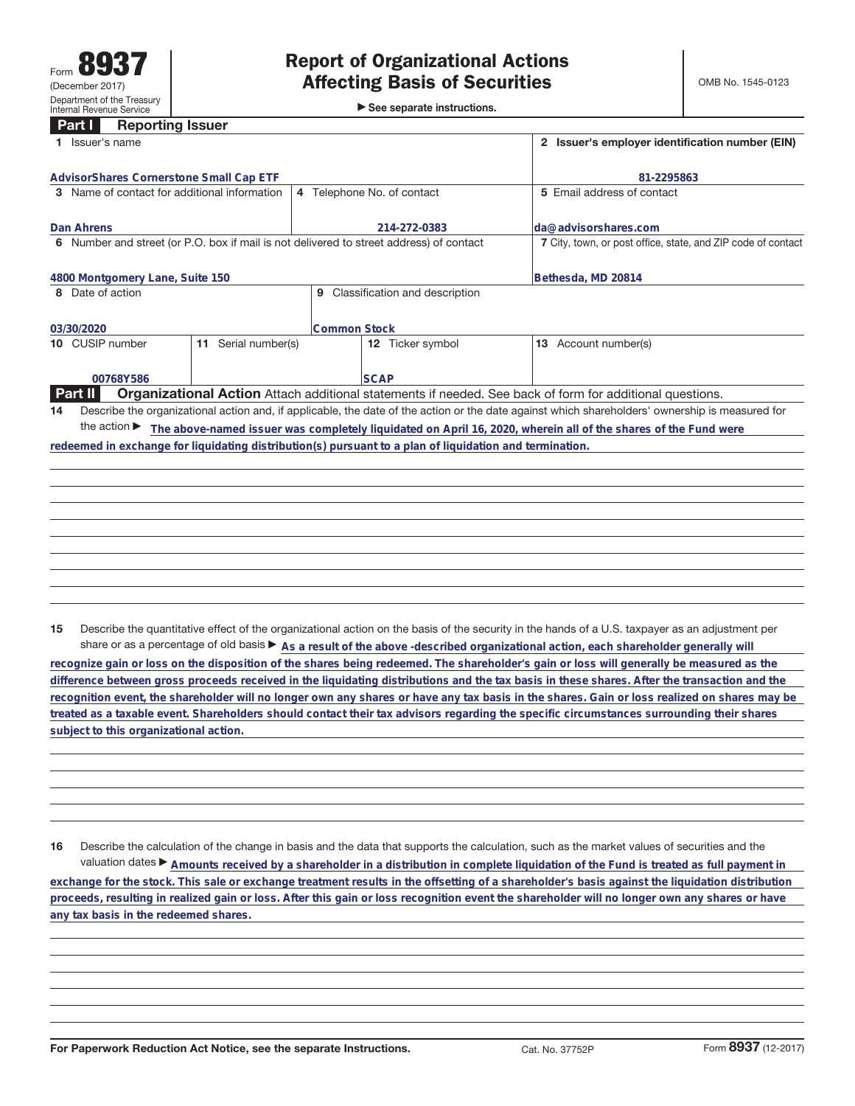| <b>Affecting Basis of Securities</b>        |
|---------------------------------------------|
| $\triangleright$ See separate instructions. |

| AdvisorShares Cornerstone Small Cap ETF<br>4 Telephone No. of contact<br>Name of contact for additional information<br>214-272-0383                   | 81-2295863<br>5 Email address of contact                     |  |  |  |
|-------------------------------------------------------------------------------------------------------------------------------------------------------|--------------------------------------------------------------|--|--|--|
| 3<br>Dan Ahrens                                                                                                                                       |                                                              |  |  |  |
|                                                                                                                                                       |                                                              |  |  |  |
|                                                                                                                                                       | lda@advisorshares.com                                        |  |  |  |
| Number and street (or P.O. box if mail is not delivered to street address) of contact<br>6.                                                           | 7 City, town, or post office, state, and ZIP code of contact |  |  |  |
| 4800 Montgomery Lane, Suite 150                                                                                                                       | Bethesda, MD 20814                                           |  |  |  |
| Classification and description<br>Date of action<br>8<br>9                                                                                            |                                                              |  |  |  |
| <b>Common Stock</b><br>03/30/2020                                                                                                                     |                                                              |  |  |  |
| 10 CUSIP number<br>Serial number(s)<br>12 Ticker symbol<br>11                                                                                         | <b>13</b> Account number(s)                                  |  |  |  |
| <b>SCAP</b><br>00768Y586                                                                                                                              |                                                              |  |  |  |
| <b>Part II</b><br><b>Organizational Action</b> Attach additional statements if needed. See back of form for additional questions.                     |                                                              |  |  |  |
| Describe the organizational action and, if applicable, the date of the action or the date against which shareholders' ownership is measured for<br>14 |                                                              |  |  |  |
| the action $\blacktriangleright$<br>The above-named issuer was completely liquidated on April 16, 2020, wherein all of the shares of the Fund were    |                                                              |  |  |  |
| redeemed in exchange for liquidating distribution(s) pursuant to a plan of liquidation and termination.                                               |                                                              |  |  |  |

**15** Describe the quantitative effect of the organizational action on the basis of the security in the hands of a U.S. taxpayer as an adjustment per share or as a percentage of old basis  $\blacktriangleright$  As a result of the above -described organizational action, each shareholder generally will

**recognize gain or loss on the disposition of the shares being redeemed. The shareholder's gain or loss will generally be measured as the difference between gross proceeds received in the liquidating distributions and the tax basis in these shares. After the transaction and the recognition event, the shareholder will no longer own any shares or have any tax basis in the shares. Gain or loss realized on shares may be treated as a taxable event. Shareholders should contact their tax advisors regarding the specific circumstances surrounding their shares subject to this organizational action.**

**16** Describe the calculation of the change in basis and the data that supports the calculation, such as the market values of securities and the valuation dates ▶ Amounts received by a shareholder in a distribution in complete liquidation of the Fund is treated as full payment in **exchange for the stock. This sale or exchange treatment results in the offsetting of a shareholder's basis against the liquidation distribution proceeds, resulting in realized gain or loss. After this gain or loss recognition event the shareholder will no longer own any shares or have any tax basis in the redeemed shares.**